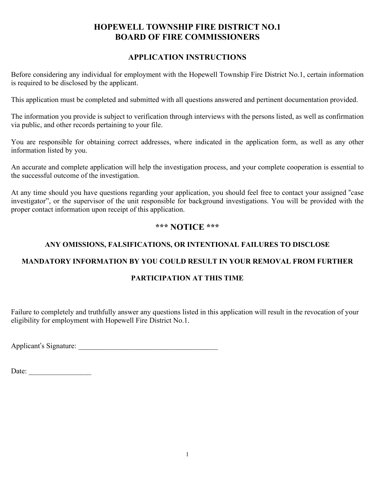#### APPLICATION INSTRUCTIONS

Before considering any individual for employment with the Hopewell Township Fire District No.1, certain information is required to be disclosed by the applicant.

This application must be completed and submitted with all questions answered and pertinent documentation provided.

The information you provide is subject to verification through interviews with the persons listed, as well as confirmation via public, and other records pertaining to your file.

You are responsible for obtaining correct addresses, where indicated in the application form, as well as any other information listed by you.

An accurate and complete application will help the investigation process, and your complete cooperation is essential to the successful outcome of the investigation.

At any time should you have questions regarding your application, you should feel free to contact your assigned "case investigator", or the supervisor of the unit responsible for background investigations. You will be provided with the proper contact information upon receipt of this application.

#### \*\*\* NOTICE \*\*\*

### ANY OMISSIONS, FALSIFICATIONS, OR INTENTIONAL FAILURES TO DISCLOSE

#### MANDATORY INFORMATION BY YOU COULD RESULT IN YOUR REMOVAL FROM FURTHER

#### PARTICIPATION AT THIS TIME

Failure to completely and truthfully answer any questions listed in this application will result in the revocation of your eligibility for employment with Hopewell Fire District No.1.

Applicant's Signature: \_\_\_\_\_\_\_\_\_\_\_\_\_\_\_\_\_\_\_\_\_\_\_\_\_\_\_\_\_\_\_\_\_\_\_\_\_\_

Date: \_\_\_\_\_\_\_\_\_\_\_\_\_\_\_\_\_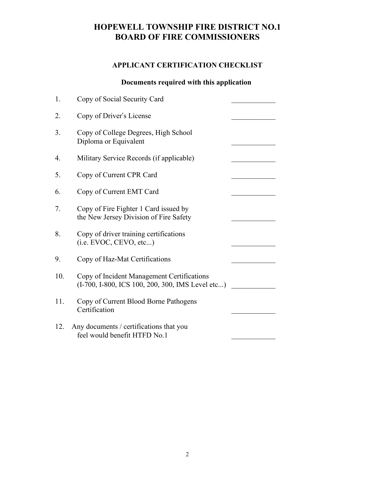### APPLICANT CERTIFICATION CHECKLIST

### Documents required with this application

| 1.  | Copy of Social Security Card                                                                   |  |
|-----|------------------------------------------------------------------------------------------------|--|
| 2.  | Copy of Driver's License                                                                       |  |
| 3.  | Copy of College Degrees, High School<br>Diploma or Equivalent                                  |  |
| 4.  | Military Service Records (if applicable)                                                       |  |
| 5.  | Copy of Current CPR Card                                                                       |  |
| 6.  | Copy of Current EMT Card                                                                       |  |
| 7.  | Copy of Fire Fighter 1 Card issued by<br>the New Jersey Division of Fire Safety                |  |
| 8.  | Copy of driver training certifications<br>(i.e. EVOC, CEVO, etc)                               |  |
| 9.  | Copy of Haz-Mat Certifications                                                                 |  |
| 10. | Copy of Incident Management Certifications<br>(I-700, I-800, ICS 100, 200, 300, IMS Level etc) |  |
| 11. | Copy of Current Blood Borne Pathogens<br>Certification                                         |  |
| 12. | Any documents / certifications that you<br>feel would benefit HTFD No.1                        |  |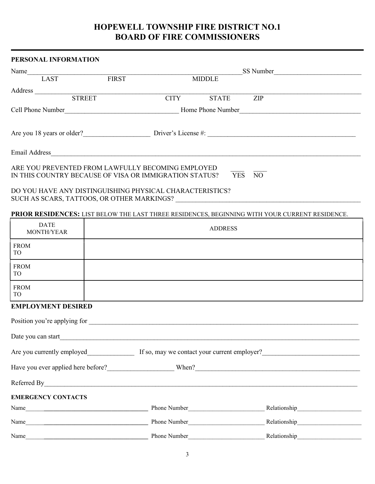# PERSONAL INFORMATION Name SS Number SS Number SS Number SS Number SS Number SS Number SS Number SS Number SS Number SS Number SS Number SS Number SS Number SS Number SS Number SS Number SS Number SS Number SS Number SS Number SS Number SS Numb LAST FIRST MIDDLE Address \_\_\_\_\_\_\_\_\_\_\_\_\_\_\_\_\_\_\_\_\_\_\_\_\_\_\_\_\_\_\_\_\_\_\_\_\_\_\_\_\_\_\_\_\_\_\_\_\_\_\_\_\_\_\_\_\_\_\_\_\_\_\_\_\_\_\_\_\_\_\_\_\_\_\_\_\_\_\_\_\_\_\_\_\_\_\_\_\_\_\_\_\_\_\_\_\_ STREET CITY STATE ZIP Cell Phone Number<br>
Home Phone Number Are you 18 years or older?<br>Driver's License #: Email Address ARE YOU PREVENTED FROM LAWFULLY BECOMING EMPLOYED IN THIS COUNTRY BECAUSE OF VISA OR IMMIGRATION STATUS? YES NO DO YOU HAVE ANY DISTINGUISHING PHYSICAL CHARACTERISTICS? SUCH AS SCARS, TATTOOS, OR OTHER MARKINGS? PRIOR RESIDENCES: LIST BELOW THE LAST THREE RESIDENCES, BEGINNING WITH YOUR CURRENT RESIDENCE. EMPLOYMENT DESIRED Position you're applying for Date you can start Are you currently employed If so, may we contact your current employer? Have you ever applied here before? When? Referred By EMERGENCY CONTACTS Name\_\_\_\_\_\_\_\_\_\_\_\_\_\_\_\_\_\_\_\_\_\_\_\_\_\_\_\_\_\_\_\_\_\_\_\_\_\_\_\_ Phone Number\_\_\_\_\_\_\_\_\_\_\_\_\_\_\_\_\_\_\_\_\_\_\_\_\_ Relationship\_\_\_\_\_\_\_\_\_\_\_\_\_\_\_\_\_\_\_\_\_ Name The Communication of the Number of the Number Relationship Relationship DATE<br>MONTH/YEAR MONTH/YEAR ADDRESS FROM THE STROM THE STROMETER OF THE STROMETER OF THE STROMETER OF THE STROMETER OF THE STROMETER OF THE STROMETER OF THE STROMETER OF THE STROMETER OF THE STROMETER OF THE STROMETER OF THE STROMETER OF THE STROMETER OF THE TO FROM THE RESERVE TO THE RESERVE TO A THE RESERVE TO A THE RESERVE TO A THE RESERVE TO A THE RESERVE TO A THE R TO FROM **FROM** TO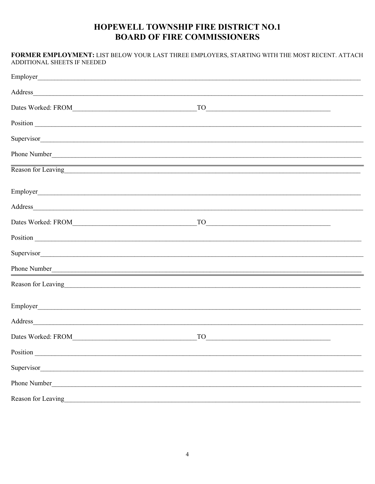| <b>ADDITIONAL SHEETS IF NEEDED</b>                                                                                                                                                                                             | FORMER EMPLOYMENT: LIST BELOW YOUR LAST THREE EMPLOYERS, STARTING WITH THE MOST RECENT. ATTACH                                                                                                                                                                                                                                                            |  |
|--------------------------------------------------------------------------------------------------------------------------------------------------------------------------------------------------------------------------------|-----------------------------------------------------------------------------------------------------------------------------------------------------------------------------------------------------------------------------------------------------------------------------------------------------------------------------------------------------------|--|
|                                                                                                                                                                                                                                |                                                                                                                                                                                                                                                                                                                                                           |  |
|                                                                                                                                                                                                                                |                                                                                                                                                                                                                                                                                                                                                           |  |
|                                                                                                                                                                                                                                | $\begin{tabular}{ c c c c } \hline \rule{0.3cm}{.01cm} \rule{0.3cm}{.01cm} \rule{0.3cm}{.01cm} \rule{0.3cm}{.01cm} \rule{0.3cm}{.01cm} \rule{0.3cm}{.01cm} \rule{0.3cm}{.01cm} \rule{0.3cm}{.01cm} \rule{0.3cm}{.01cm} \rule{0.3cm}{.01cm} \rule{0.3cm}{.01cm} \rule{0.3cm}{.01cm} \rule{0.3cm}{.01cm} \rule{0.3cm}{.01cm} \rule{0.3cm}{.01cm} \rule{0.3$ |  |
|                                                                                                                                                                                                                                | Position explanation and the set of the set of the set of the set of the set of the set of the set of the set of the set of the set of the set of the set of the set of the set of the set of the set of the set of the set of                                                                                                                            |  |
|                                                                                                                                                                                                                                | Supervisor                                                                                                                                                                                                                                                                                                                                                |  |
|                                                                                                                                                                                                                                |                                                                                                                                                                                                                                                                                                                                                           |  |
|                                                                                                                                                                                                                                | ,我们也不能在这里的时候,我们也不能会在这里,我们也不能会在这里的时候,我们也不能会在这里的时候,我们也不能会在这里的时候,我们也不能会在这里的时候,我们也不能<br>Reason for Leaving                                                                                                                                                                                                                                                    |  |
|                                                                                                                                                                                                                                |                                                                                                                                                                                                                                                                                                                                                           |  |
|                                                                                                                                                                                                                                |                                                                                                                                                                                                                                                                                                                                                           |  |
|                                                                                                                                                                                                                                | $TO$ and $TO$ and $TO$ and $TO$ and $TO$ and $TO$ and $TO$ and $TO$ and $TO$ and $TO$ and $TO$ and $TO$ and $TO$ and $TO$ and $TO$ and $TO$ and $TO$ and $TO$ and $TO$ and $TO$ and $TO$ and $TO$ and $TO$ and $TO$ and $TO$ and $TO$ and $TO$ and $TO$ a                                                                                                 |  |
|                                                                                                                                                                                                                                | Position explanation and the set of the set of the set of the set of the set of the set of the set of the set of the set of the set of the set of the set of the set of the set of the set of the set of the set of the set of                                                                                                                            |  |
|                                                                                                                                                                                                                                | Supervisor                                                                                                                                                                                                                                                                                                                                                |  |
|                                                                                                                                                                                                                                | Phone Number<br>The Company of the Company of the Company of the Company of the Company of the Company of the Company of the Company of the Company of the Company of the Company of the Company of the Company of the Company o                                                                                                                          |  |
|                                                                                                                                                                                                                                | Reason for Leaving https://www.assett.com/2010/2010/2010 and 2010/2010 and 2010/2010 and 2010/2010 and 2010/20                                                                                                                                                                                                                                            |  |
|                                                                                                                                                                                                                                |                                                                                                                                                                                                                                                                                                                                                           |  |
| Address                                                                                                                                                                                                                        |                                                                                                                                                                                                                                                                                                                                                           |  |
|                                                                                                                                                                                                                                | $TO \t 200$                                                                                                                                                                                                                                                                                                                                               |  |
| Position expansion and the contract of the contract of the contract of the contract of the contract of the contract of the contract of the contract of the contract of the contract of the contract of the contract of the con |                                                                                                                                                                                                                                                                                                                                                           |  |
| Supervisor                                                                                                                                                                                                                     |                                                                                                                                                                                                                                                                                                                                                           |  |
|                                                                                                                                                                                                                                |                                                                                                                                                                                                                                                                                                                                                           |  |
| Reason for Leaving<br><u>Example 2014</u>                                                                                                                                                                                      |                                                                                                                                                                                                                                                                                                                                                           |  |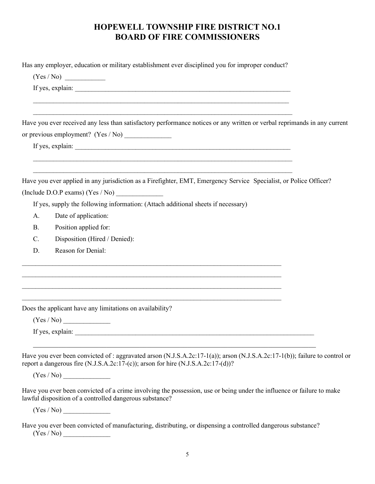Has any employer, education or military establishment ever disciplined you for improper conduct?

 $(Yes / No)$ 

If yes, explain:  $\blacksquare$ 

Have you ever received any less than satisfactory performance notices or any written or verbal reprimands in any current or previous employment? (Yes  $/$  No)

 $\mathcal{L}_\mathcal{L} = \mathcal{L}_\mathcal{L} = \mathcal{L}_\mathcal{L} = \mathcal{L}_\mathcal{L} = \mathcal{L}_\mathcal{L} = \mathcal{L}_\mathcal{L} = \mathcal{L}_\mathcal{L} = \mathcal{L}_\mathcal{L} = \mathcal{L}_\mathcal{L} = \mathcal{L}_\mathcal{L} = \mathcal{L}_\mathcal{L} = \mathcal{L}_\mathcal{L} = \mathcal{L}_\mathcal{L} = \mathcal{L}_\mathcal{L} = \mathcal{L}_\mathcal{L} = \mathcal{L}_\mathcal{L} = \mathcal{L}_\mathcal{L}$ 

 $\mathcal{L}_\mathcal{L} = \{ \mathcal{L}_\mathcal{L} = \{ \mathcal{L}_\mathcal{L} = \{ \mathcal{L}_\mathcal{L} = \{ \mathcal{L}_\mathcal{L} = \{ \mathcal{L}_\mathcal{L} = \{ \mathcal{L}_\mathcal{L} = \{ \mathcal{L}_\mathcal{L} = \{ \mathcal{L}_\mathcal{L} = \{ \mathcal{L}_\mathcal{L} = \{ \mathcal{L}_\mathcal{L} = \{ \mathcal{L}_\mathcal{L} = \{ \mathcal{L}_\mathcal{L} = \{ \mathcal{L}_\mathcal{L} = \{ \mathcal{L}_\mathcal{$ 

If yes, explain:

Have you ever applied in any jurisdiction as a Firefighter, EMT, Emergency Service Specialist, or Police Officer? (Include  $D.O.P$  exams) (Yes / No)

If yes, supply the following information: (Attach additional sheets if necessary)

- A. Date of application:
- B. Position applied for:
- C. Disposition (Hired / Denied):
- 

D. Reason for Denial:<br>
<br>
Does the applicant have any limitations on availability?

 $(Yes / No)$ 

If yes, explain:  $\overline{\phantom{a}}$ 

Have you ever been convicted of : aggravated arson  $(N.J.S.A.2c:17-1(a))$ ; arson  $(N.J.S.A.2c:17-1(b))$ ; failure to control or report a dangerous fire (N.J.S.A.2c:17-(c)); arson for hire (N.J.S.A.2c:17-(d))?

 $(Yes / No)$ 

Have you ever been convicted of a crime involving the possession, use or being under the influence or failure to make lawful disposition of a controlled dangerous substance?

 $(Yes / No)$ 

Have you ever been convicted of manufacturing, distributing, or dispensing a controlled dangerous substance?  $(Yes / No)$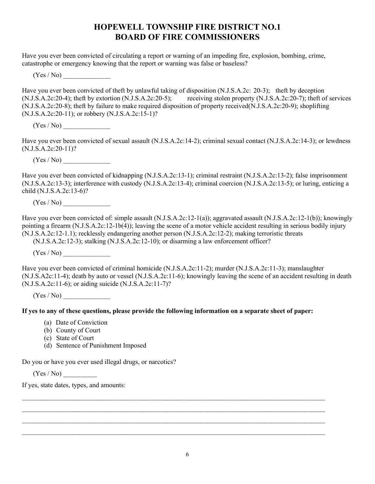Have you ever been convicted of circulating a report or warning of an impeding fire, explosion, bombing, crime, catastrophe or emergency knowing that the report or warning was false or baseless?

 $(Yes / No)$ 

Have you ever been convicted of theft by unlawful taking of disposition (N.J.S.A.2c: 20-3); theft by deception (N.J.S.A.2c:20-4); theft by extortion (N.J.S.A.2c:20-5); receiving stolen property (N.J.S.A.2c:20-7); theft of services (N.J.S.A.2c:20-8); theft by failure to make required disposition of property received(N.J.S.A.2c:20-9); shoplifting (N.J.S.A.2c:20-11); or robbery (N.J.S.A.2c:15-1)?

 $(Yes / No)$ 

Have you ever been convicted of sexual assault (N.J.S.A.2c:14-2); criminal sexual contact (N.J.S.A.2c:14-3); or lewdness (N.J.S.A.2c:20-11)?

 $(Yes / No)$ 

Have you ever been convicted of kidnapping (N.J.S.A.2c:13-1); criminal restraint (N.J.S.A.2c:13-2); false imprisonment (N.J.S.A.2c:13-3); interference with custody (N.J.S.A.2c:13-4); criminal coercion (N.J.S.A.2c:13-5); or luring, enticing a child (N.J.S.A.2c:13-6)?

 $(Yes / No)$ 

Have you ever been convicted of: simple assault (N.J.S.A.2c:12-1(a)); aggravated assault (N.J.S.A.2c:12-1(b)); knowingly pointing a firearm (N.J.S.A.2c:12-1b(4)); leaving the scene of a motor vehicle accident resulting in serious bodily injury (N.J.S.A.2c:12-1.1); recklessly endangering another person (N.J.S.A.2c:12-2); making terroristic threats

(N.J.S.A.2c:12-3); stalking (N.J.S.A.2c:12-10); or disarming a law enforcement officer?

 $(Yes / No)$ 

Have you ever been convicted of criminal homicide (N.J.S.A.2c:11-2); murder (N.J.S.A.2c:11-3); manslaughter (N.J.S.A2c:11-4); death by auto or vessel (N.J.S.A.2c:11-6); knowingly leaving the scene of an accident resulting in death (N.J.S.A.2c:11-6); or aiding suicide (N.J.S.A.2c:11-7)?

 $(Yes / No)$ 

#### If yes to any of these questions, please provide the following information on a separate sheet of paper:

- (a) Date of Conviction
- (b) County of Court
- (c) State of Court
- (d) Sentence of Punishment Imposed

Do you or have you ever used illegal drugs, or narcotics?

 $(Yes / No)$ 

If yes, state dates, types, and amounts:<br>
and amounts:<br>
The state of the state of the state of the state of the state of the state of the state of the state of the state of the state of the state of the state of the state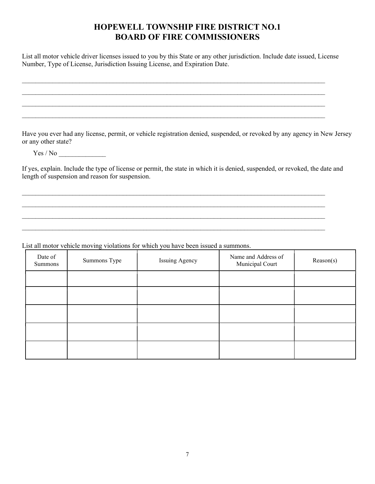List all motor vehicle driver licenses issued to you by this State or any other jurisdiction. Include date issued, License

Number, Type of License, Jurisdiction Issuing License, and Expiration Date. \_\_\_\_\_\_\_\_\_\_\_\_\_\_\_\_\_\_\_\_\_\_\_\_\_\_\_\_\_\_\_\_\_\_\_\_\_\_\_\_\_\_\_\_\_\_\_\_\_\_\_\_\_\_\_\_\_\_\_\_\_\_\_\_\_\_\_\_\_\_\_\_\_\_\_\_\_\_\_\_\_\_\_\_\_\_\_\_\_\_ \_\_\_\_\_\_\_\_\_\_\_\_\_\_\_\_\_\_\_\_\_\_\_\_\_\_\_\_\_\_\_\_\_\_\_\_\_\_\_\_\_\_\_\_\_\_\_\_\_\_\_\_\_\_\_\_\_\_\_\_\_\_\_\_\_\_\_\_\_\_\_\_\_\_\_\_\_\_\_\_\_\_\_\_\_\_\_\_\_\_ \_\_\_\_\_\_\_\_\_\_\_\_\_\_\_\_\_\_\_\_\_\_\_\_\_\_\_\_\_\_\_\_\_\_\_\_\_\_\_\_\_\_\_\_\_\_\_\_\_\_\_\_\_\_\_\_\_\_\_\_\_\_\_\_\_\_\_\_\_\_\_\_\_\_\_\_\_\_\_\_\_\_\_\_\_\_\_\_\_\_ \_\_\_\_\_\_\_\_\_\_\_\_\_\_\_\_\_\_\_\_\_\_\_\_\_\_\_\_\_\_\_\_\_\_\_\_\_\_\_\_\_\_\_\_\_\_\_\_\_\_\_\_\_\_\_\_\_\_\_\_\_\_\_\_\_\_\_\_\_\_\_\_\_\_\_\_\_\_\_\_\_\_\_\_\_\_\_\_\_\_ Have you ever had any license, permit, or vehicle registration denied, suspended, or revoked by any agency in New Jersey or any other state?

Yes / No \_\_\_\_\_\_\_\_\_\_\_\_\_\_

If yes, explain. Include the type of license or permit, the state in which it is denied, suspended, or revoked, the date and length of suspension and reason for suspension.<br>
<br>
List all motor vehicle moving violations for which you have been issued a summons.

| Date of<br>Summons | Summons Type | Issuing Agency | Name and Address of<br>Municipal Court | Reason(s) |  |
|--------------------|--------------|----------------|----------------------------------------|-----------|--|
|                    |              |                |                                        |           |  |
|                    |              |                |                                        |           |  |
|                    |              |                |                                        |           |  |
|                    |              |                |                                        |           |  |
|                    |              |                |                                        |           |  |
|                    |              |                |                                        |           |  |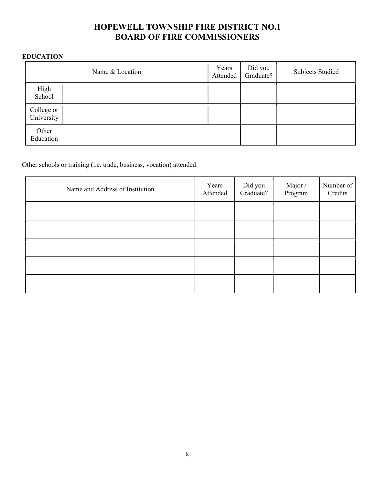#### EDUCATION

|                          | Name & Location | Years<br>Attended | Did you<br>Graduate? | <b>Subjects Studied</b> |
|--------------------------|-----------------|-------------------|----------------------|-------------------------|
| High<br>School           |                 |                   |                      |                         |
| College or<br>University |                 |                   |                      |                         |
| Other<br>Education       |                 |                   |                      |                         |

Other schools or training (i.e. trade, business, vocation) attended:

| Name and Address of Institution | Years<br>Attended | Did you<br>Graduate? | Major /<br>Program | Number of<br>Credits |
|---------------------------------|-------------------|----------------------|--------------------|----------------------|
|                                 |                   |                      |                    |                      |
|                                 |                   |                      |                    |                      |
|                                 |                   |                      |                    |                      |
|                                 |                   |                      |                    |                      |
|                                 |                   |                      |                    |                      |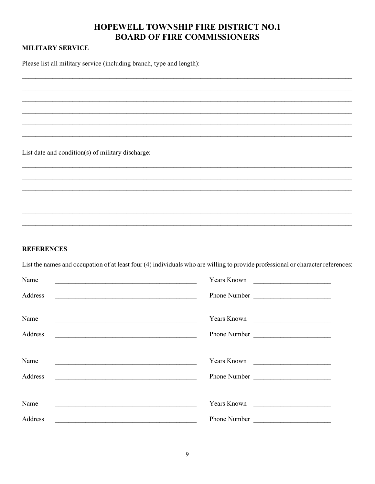#### **MILITARY SERVICE**

Please list all military service (including branch, type and length):

List date and condition(s) of military discharge:

#### **REFERENCES**

List the names and occupation of at least four (4) individuals who are willing to provide professional or character references:

| Name    | Years Known                                                                         |
|---------|-------------------------------------------------------------------------------------|
| Address | Phone Number                                                                        |
| Name    | Years Known                                                                         |
| Address | Phone Number                                                                        |
|         |                                                                                     |
| Name    | Years Known                                                                         |
| Address | Phone Number<br><u> 1989 - Johann Barbara, martxa alemaniar amerikan basar da a</u> |
|         |                                                                                     |
| Name    | Years Known                                                                         |
| Address | Phone Number                                                                        |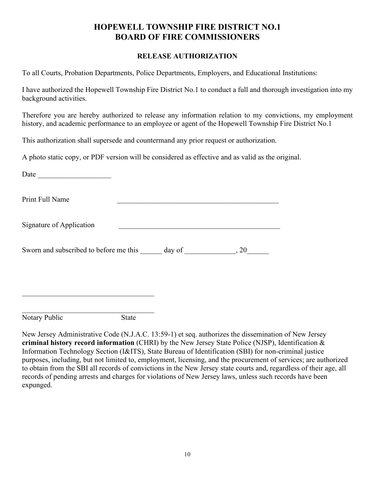#### RELEASE AUTHORIZATION

To all Courts, Probation Departments, Police Departments, Employers, and Educational Institutions:

I have authorized the Hopewell Township Fire District No.1 to conduct a full and thorough investigation into my background activities.

Therefore you are hereby authorized to release any information relation to my convictions, my employment history, and academic performance to an employee or agent of the Hopewell Township Fire District No.1

This authorization shall supersede and countermand any prior request or authorization.

A photo static copy, or PDF version will be considered as effective and as valid as the original.

| Date<br><u> 1989 - Johann Harry Harry Harry Harry Harry Harry Harry Harry Harry Harry Harry Harry Harry Harry Harry Harry</u> |              |  |  |
|-------------------------------------------------------------------------------------------------------------------------------|--------------|--|--|
| Print Full Name                                                                                                               |              |  |  |
| Signature of Application                                                                                                      |              |  |  |
| Sworn and subscribed to before me this day of 30, 20                                                                          |              |  |  |
|                                                                                                                               |              |  |  |
| Notary Public                                                                                                                 | <b>State</b> |  |  |

New Jersey Administrative Code (N.J.A.C. 13:59-1) et seq. authorizes the dissemination of New Jersey criminal history record information (CHRI) by the New Jersey State Police (NJSP), Identification & Information Technology Section (I&ITS), State Bureau of Identification (SBI) for non-criminal justice purposes, including, but not limited to, employment, licensing, and the procurement of services; are authorized to obtain from the SBI all records of convictions in the New Jersey state courts and, regardless of their age, all records of pending arrests and charges for violations of New Jersey laws, unless such records have been expunged.